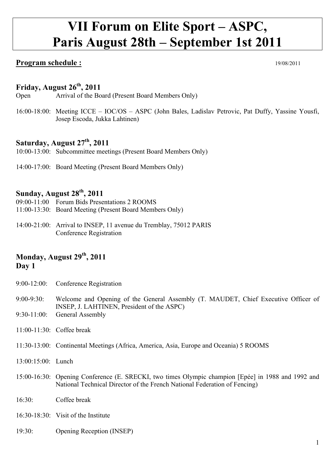# **VII Forum on Elite Sport – ASPC, Paris August 28th – September 1st 2011**

## **Program schedule :** 19/08/2011

## **Friday, August 26th, 2011**

Open Arrival of the Board (Present Board Members Only)

16:00-18:00: Meeting ICCE – IOC/OS – ASPC (John Bales, Ladislav Petrovic, Pat Duffy, Yassine Yousfi, Josep Escoda, Jukka Lahtinen)

## **Saturday, August 27th, 2011**

10:00-13:00: Subcommittee meetings (Present Board Members Only)

14:00-17:00: Board Meeting (Present Board Members Only)

## **Sunday, August 28th, 2011**

- 09:00-11:00 Forum Bids Presentations 2 ROOMS
- 11:00-13:30: Board Meeting (Present Board Members Only)
- 14:00-21:00: Arrival to INSEP, 11 avenue du Tremblay, 75012 PARIS Conference Registration

## **Monday, August 29th, 2011 Day 1**

- 9:00-12:00: Conference Registration
- 9:00-9:30: Welcome and Opening of the General Assembly (T. MAUDET, Chief Executive Officer of INSEP, J. LAHTINEN, President of the ASPC)
- 9:30-11:00: General Assembly
- $11.00 11.30$  Coffee break
- 11:30-13:00: Continental Meetings (Africa, America, Asia, Europe and Oceania) 5 ROOMS
- 13:00:15:00: Lunch
- 15:00-16:30: Opening Conference (E. SRECKI, two times Olympic champion [Epée] in 1988 and 1992 and National Technical Director of the French National Federation of Fencing)
- 16:30: Coffee break
- 16:30-18:30: Visit of the Institute
- 19:30: Opening Reception (INSEP)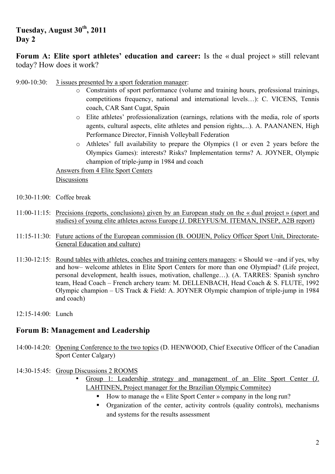## **Tuesday, August 30th, 2011 Day 2**

**Forum A: Elite sport athletes' education and career:** Is the « dual project » still relevant today? How does it work?

- 9:00-10:30: 3 issues presented by a sport federation manager:
	- o Constraints of sport performance (volume and training hours, professional trainings, competitions frequency, national and international levels…): C. VICENS, Tennis coach, CAR Sant Cugat, Spain
	- o Elite athletes' professionalization (earnings, relations with the media, role of sports agents, cultural aspects, elite athletes and pension rights,...). A. PAANANEN, High Performance Director, Finnish Volleyball Federation
	- o Athletes' full availability to prepare the Olympics (1 or even 2 years before the Olympics Games): interests? Risks? Implementation terms? A. JOYNER, Olympic champion of triple-jump in 1984 and coach

Answers from 4 Elite Sport Centers

**Discussions** 

- 10:30-11:00: Coffee break
- 11:00-11:15: Precisions (reports, conclusions) given by an European study on the « dual project » (sport and studies) of young elite athletes across Europe (J. DREYFUS/M. ITEMAN, INSEP, A2B report)
- 11:15-11:30: Future actions of the European commission (B. OOIJEN, Policy Officer Sport Unit, Directorate-General Education and culture)
- 11:30-12:15: Round tables with athletes, coaches and training centers managers: « Should we –and if yes, why and how– welcome athletes in Elite Sport Centers for more than one Olympiad? (Life project, personal development, health issues, motivation, challenge…). (A. TARRES: Spanish synchro team, Head Coach – French archery team: M. DELLENBACH, Head Coach & S. FLUTE, 1992 Olympic champion – US Track & Field: A. JOYNER Olympic champion of triple-jump in 1984 and coach)
- 12:15-14:00: Lunch

#### **Forum B: Management and Leadership**

- 14:00-14:20: Opening Conference to the two topics (D. HENWOOD, Chief Executive Officer of the Canadian Sport Center Calgary)
- 14:30-15:45: Group Discussions 2 ROOMS
	- Group 1: Leadership strategy and management of an Elite Sport Center (J. LAHTINEN, Project manager for the Brazilian Olympic Commitee)
		- ! How to manage the « Elite Sport Center » company in the long run?
		- ! Organization of the center, activity controls (quality controls), mechanisms and systems for the results assessment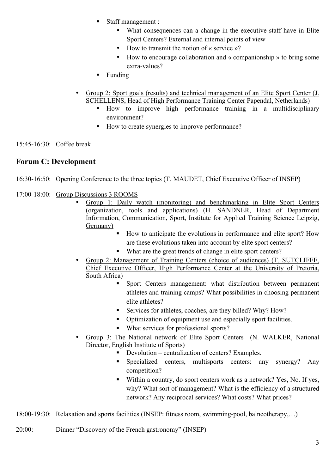- ! Staff management :
	- What consequences can a change in the executive staff have in Elite Sport Centers? External and internal points of view
	- How to transmit the notion of « service »?
	- How to encourage collaboration and « companionship » to bring some extra-values?
- **Example**
- Group 2: Sport goals (results) and technical management of an Elite Sport Center (J. SCHELLENS, Head of High Performance Training Center Papendal, Netherlands)
	- ! How to improve high performance training in a multidisciplinary environment?
	- ! How to create synergies to improve performance?

15:45-16:30: Coffee break

## **Forum C: Development**

- 16:30-16:50: Opening Conference to the three topics (T. MAUDET, Chief Executive Officer of INSEP)
- 17:00-18:00: Group Discussions 3 ROOMS
	- Group 1: Daily watch (monitoring) and benchmarking in Elite Sport Centers (organization, tools and applications) (H. SANDNER, Head of Department Information, Communication, Sport, Institute for Applied Training Science Leipzig, Germany)
		- ! How to anticipate the evolutions in performance and elite sport? How are these evolutions taken into account by elite sport centers?
		- What are the great trends of change in elite sport centers?
	- Group 2: Management of Training Centers (choice of audiences) (T. SUTCLIFFE, Chief Executive Officer, High Performance Center at the University of Pretoria, South Africa)
		- ! Sport Centers management: what distribution between permanent athletes and training camps? What possibilities in choosing permanent elite athletes?
		- Services for athletes, coaches, are they billed? Why? How?
		- ! Optimization of equipment use and especially sport facilities.
		- ! What services for professional sports?
	- Group 3: The National network of Elite Sport Centers (N. WALKER, National Director, English Institute of Sports)
		- ! Devolution centralization of centers? Examples.
			- ! Specialized centers, multisports centers: any synergy? Any competition?
			- ! Within a country, do sport centers work as a network? Yes, No. If yes, why? What sort of management? What is the efficiency of a structured network? Any reciprocal services? What costs? What prices?

18:00-19:30: Relaxation and sports facilities (INSEP: fitness room, swimming-pool, balneotherapy,…)

20:00: Dinner "Discovery of the French gastronomy" (INSEP)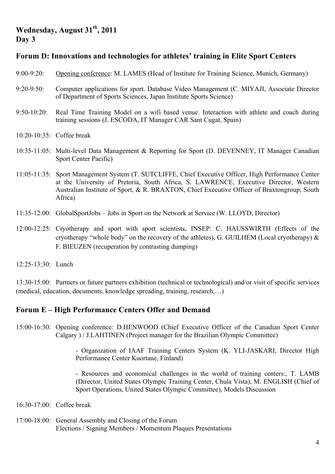## **Wednesday, August 31th, 2011 Day 3**

## **Forum D: Innovations and technologies for athletes' training in Elite Sport Centers**

- 9:00-9:20: Opening conference: M. LAMES (Head of Institute for Training Science, Munich, Germany)
- 9:20-9:50: Computer applications for sport. Database Video Management (C. MIYAJI, Associate Director of Department of Sports Sciences, Japan Institute Sports Science)
- 9:50-10:20: Real Time Training Model on a wifi based venue. Interaction with athlete and coach during training sessions (J. ESCODA, IT Manager CAR Sant Cugat, Spain)
- 10:20-10:35: Coffee break
- 10:35-11:05: Multi-level Data Management & Reporting for Sport (D. DEVENNEY, IT Manager Canadian Sport Center Pacific)
- 11:05-11:35: Sport Management System (T. SUTCLIFFE, Chief Executive Officer, High Performance Center at the University of Pretoria, South Africa, S. LAWRENCE, Executive Director, Western Australian Institute of Sport, & R. BRAXTON, Chief Executive Officer of Braxtongroup, South Africa)
- 11:35-12:00: GlobalSportJobs Jobs in Sport on the Network at Service (W. LLOYD, Director)
- 12:00-12:25: Cryotherapy and sport with sport scientists, INSEP: C. HAUSSWIRTH (Effects of the cryotherapy "whole body" on the recovery of the athletes), G. GUILHEM (Local cryotherapy)  $\&$ F. BIEUZEN (recuperation by contrasting dumping)
- 12:25-13:30: Lunch

13:30-15:00: Partners or future partners exhibition (technical or technological) and/or visit of specific services (medical, education, documents, knowledge spreading, training, research,…)

#### **Forum E – High Performance Centers Offer and Demand**

15:00-16:30: Opening conference: D.HENWOOD (Chief Executive Officer of the Canadian Sport Center Calgary ) / J.LAHTINEN (Project manager for the Brazilian Olympic Committee)

> - Organization of IAAF Training Centers System (K. YLI-JASKARI, Director High Performance Center Kuortane, Finland)

> - Resources and economical challenges in the world of training centers:, T. LAMB (Director, United States Olympic Training Center, Chula Vista), M. ENGLISH (Chief of Sport Operations, United States Olympic Committee), Models Discussion

- 16:30-17:00: Coffee break
- 17:00-18:00: General Assembly and Closing of the Forum Elections / Signing Members / Momentum Plaques Presentations